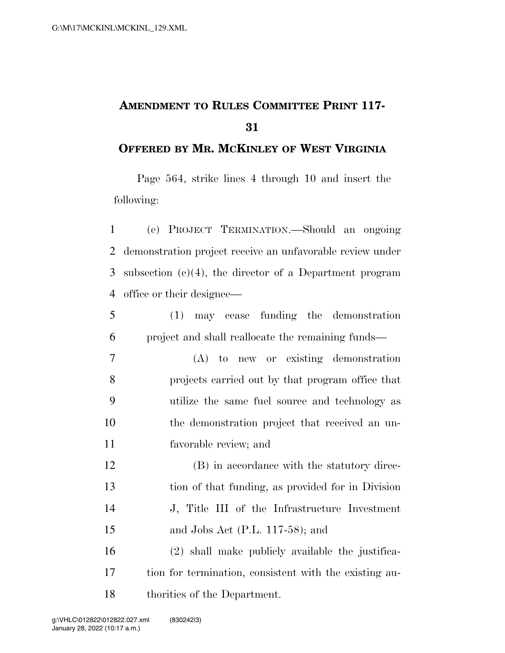## **AMENDMENT TO RULES COMMITTEE PRINT 117-**

## **OFFERED BY MR. MCKINLEY OF WEST VIRGINIA**

Page 564, strike lines 4 through 10 and insert the following:

 (e) PROJECT TERMINATION.—Should an ongoing demonstration project receive an unfavorable review under subsection (c)(4), the director of a Department program office or their designee—

 (1) may cease funding the demonstration project and shall reallocate the remaining funds—

 (A) to new or existing demonstration projects carried out by that program office that utilize the same fuel source and technology as the demonstration project that received an un-favorable review; and

12 (B) in accordance with the statutory direc- tion of that funding, as provided for in Division J, Title III of the Infrastructure Investment and Jobs Act (P.L. 117-58); and

 (2) shall make publicly available the justifica- tion for termination, consistent with the existing au-thorities of the Department.